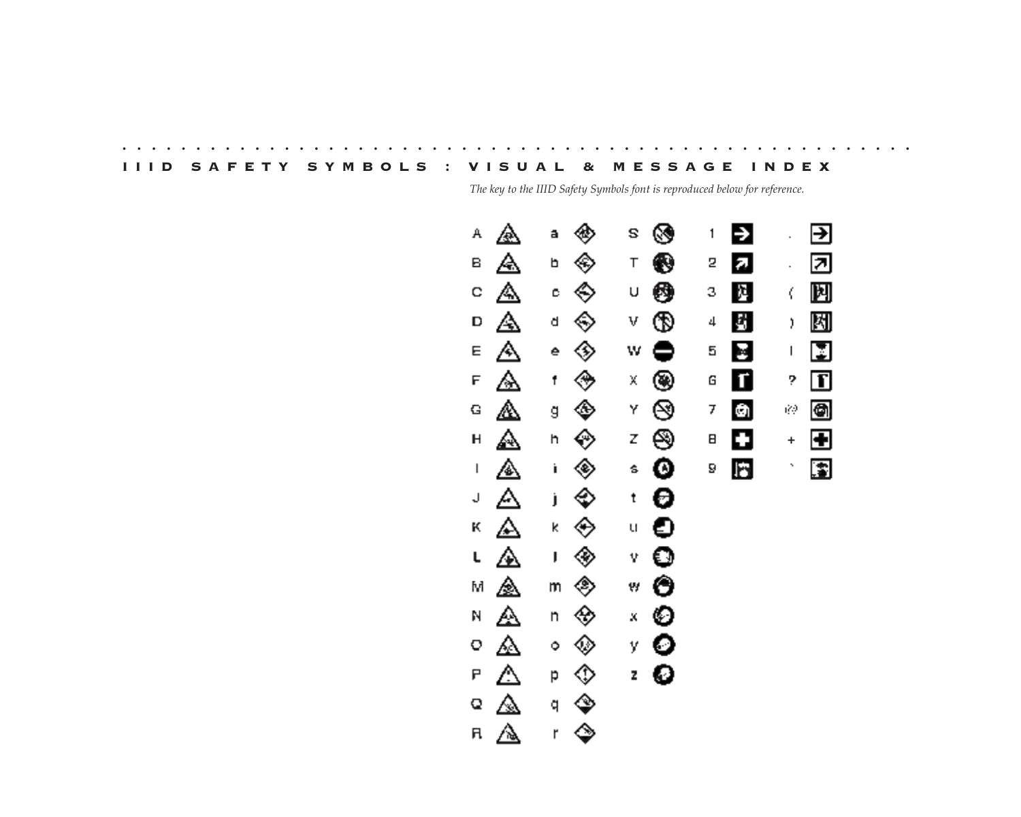### **IIID SAFETY SYMBOLS : VISUAL & MESSAGE INDEX**

**. . . . . . . . . . . . . . . . . . . . . . . . . . . . . . . . . . . . . . . . . . . . . . . . . . . . . .**

*The key to the IIID Safety Symbols font is reproduced below for reference.*

| А                        | ◬ | ◈<br>ā | ⊗<br>s | 1 | Ð  |           | ⋻           |
|--------------------------|---|--------|--------|---|----|-----------|-------------|
| в                        | ◬ | ◈<br>b | ❸<br>Τ | 2 | a  |           | ⊠           |
| C                        | ◬ | ◈<br>C | ❸<br>U | З | P. | Ç         | 因           |
| D                        | ◬ | ◈<br>đ | ⊕<br>٧ | 4 | 뽜  | Ì         | 圆           |
| Ε                        | ◬ | ◈<br>ė | ●<br>W | 5 | Е  | I         | ⊡           |
| F                        | ◬ | ◈<br>f | ◉<br>χ | G | 0  | ?         | $\mathbf I$ |
| G                        | ◬ | ◈<br>ğ | ⊗<br>Υ | 7 | û, | 12        | ◙           |
| Н                        | ◬ | ◈<br>h | ⊛<br>z | 8 | Ο  | $\ddot{}$ | Ð           |
| $\overline{\phantom{a}}$ | ◬ | ◈<br>Ì | ⊙<br>Ŝ | 9 | 6  | ł,        | 国           |
| J                        | ◬ | ♦<br>j | Θ<br>t |   |    |           |             |
| К                        | ◬ | ◈<br>K | O<br>U |   |    |           |             |
| L                        | ◬ | ◈<br>J | O<br>٧ |   |    |           |             |
| М                        | ⚠ | ◈<br>m | ◓<br>W |   |    |           |             |
| N                        | ◬ | ◈<br>n | O<br>× |   |    |           |             |
| o                        | ◬ | ◈<br>۰ | Ο<br>y |   |    |           |             |
| P                        | ◬ | ♦<br>p | €<br>Z |   |    |           |             |
| Q                        | ◬ | ♦<br>q |        |   |    |           |             |
| R                        | ◬ | ◈<br>۲ |        |   |    |           |             |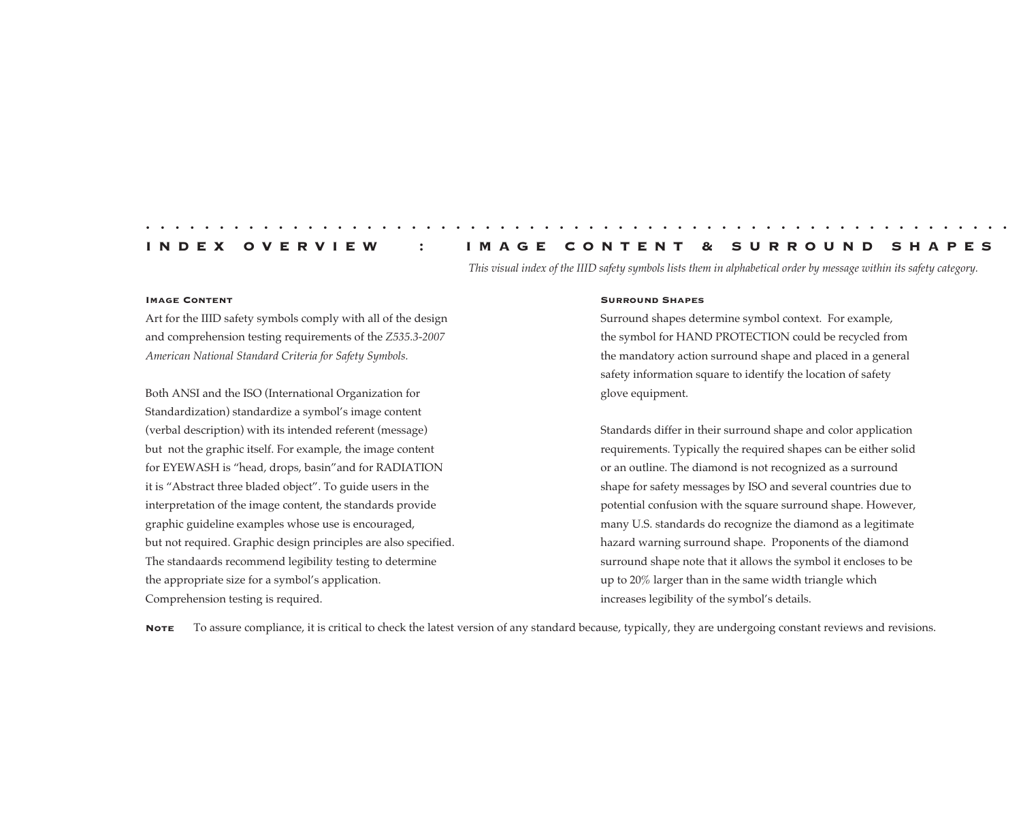### **INDEX OVERVIEW : IMAGE CONTENT & SURROUND SHAPES**

### *This visual index of the IIID safety symbols lists them in alphabetical order by message within its safety category.*

#### **Image Content**

Art for the IIID safety symbols comply with all of the design and comprehension testing requirements of the *Z535.3-2007 American National Standard Criteria for Safety Symbols.*

Both ANSI and the ISO (International Organization for Standardization) standardize a symbol's image content (verbal description) with its intended referent (message) but not the graphic itself. For example, the image content for EYEWASH is "head, drops, basin"and for RADIATION it is "Abstract three bladed object". To guide users in the interpretation of the image content, the standards provide graphic guideline examples whose use is encouraged, but not required. Graphic design principles are also specified. The standaards recommend legibility testing to determine the appropriate size for a symbol's application. Comprehension testing is required.

#### **Surround Shapes**

**. . . . . . . . . . . . . . . . . . . . . . . . . . . . . . . . . . . . . . . . . . . . . . . . . . . . . . . . . . .**

Surround shapes determine symbol context. For example, the symbol for HAND PROTECTION could be recycled from the mandatory action surround shape and placed in a general safety information square to identify the location of safety glove equipment.

Standards differ in their surround shape and color application requirements. Typically the required shapes can be either solid or an outline. The diamond is not recognized as a surround shape for safety messages by ISO and several countries due to potential confusion with the square surround shape. However, many U.S. standards do recognize the diamond as a legitimate hazard warning surround shape. Proponents of the diamond surround shape note that it allows the symbol it encloses to be up to 20% larger than in the same width triangle which increases legibility of the symbol's details.

**Note** To assure compliance, it is critical to check the latest version of any standard because, typically, they are undergoing constant reviews and revisions.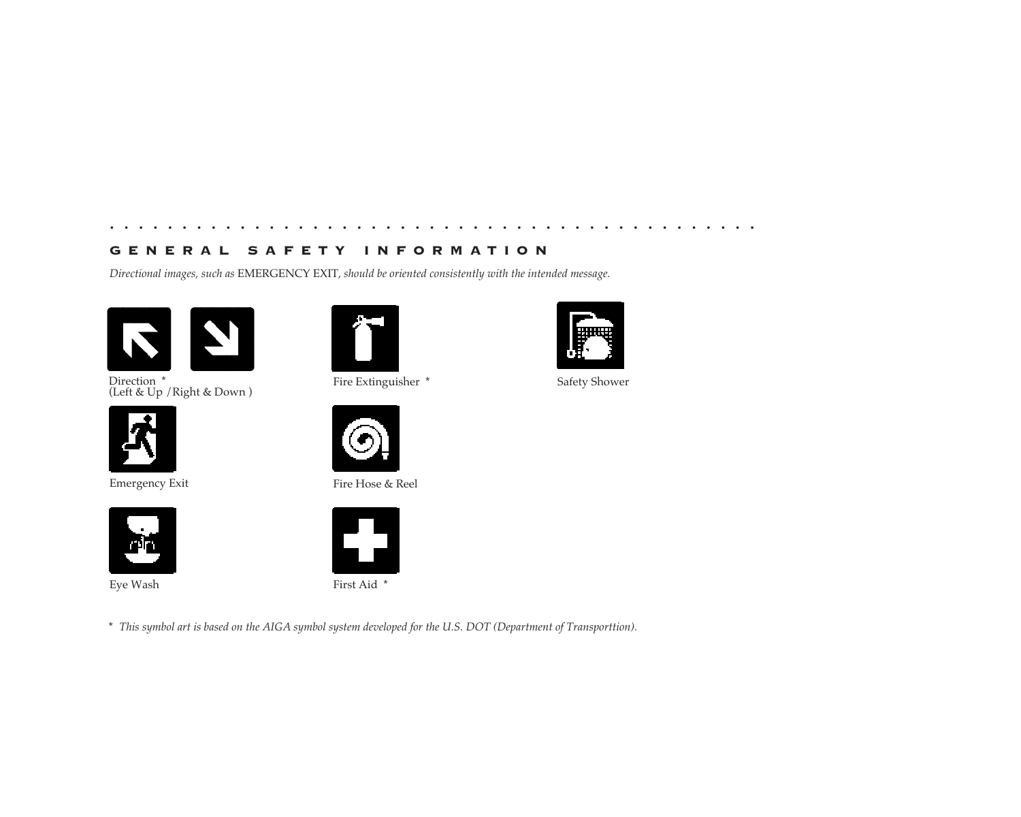# **GENERAL SAFETY INFORMATION**

*Directional images, such as* EMERGENCY EXIT*, should be oriented consistently with the intended message.*

**. . . . . . . . . . . . . . . . . . . . . . . . . . . . . . . . . . . . . . . . . . . . .**





Direction **\*** (Left & Up /Right & Down ) Fire Extinguisher **\*** Safety Shower



Emergency Exit







Fire Hose & Reel





**\*** *This symbol art is based on the AIGA symbol system developed for the U.S. DOT (Department of Transporttion).*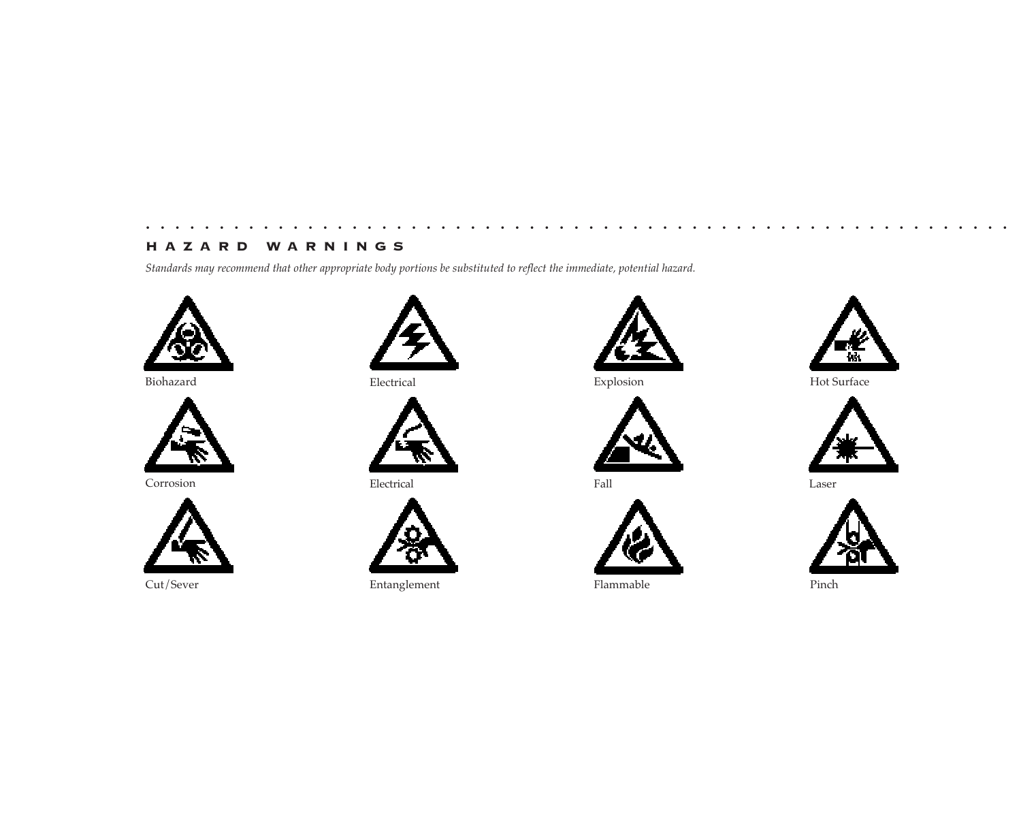# **HAZARD WARNINGS**

*Standards may recommend that other appropriate body portions be substituted to reflect the immediate, potential hazard.* 











Corrosion Electrical Fall Laser



Cut/Sever Entanglement Flammable Pinch



Biohazard Electrical Explosion

**. . . . . . . . . . . . . . . . . . . . . . . . . . . . . . . . . . . . . . . . . . . . . . . . . . . . . . . . . . .**







Hot Surface



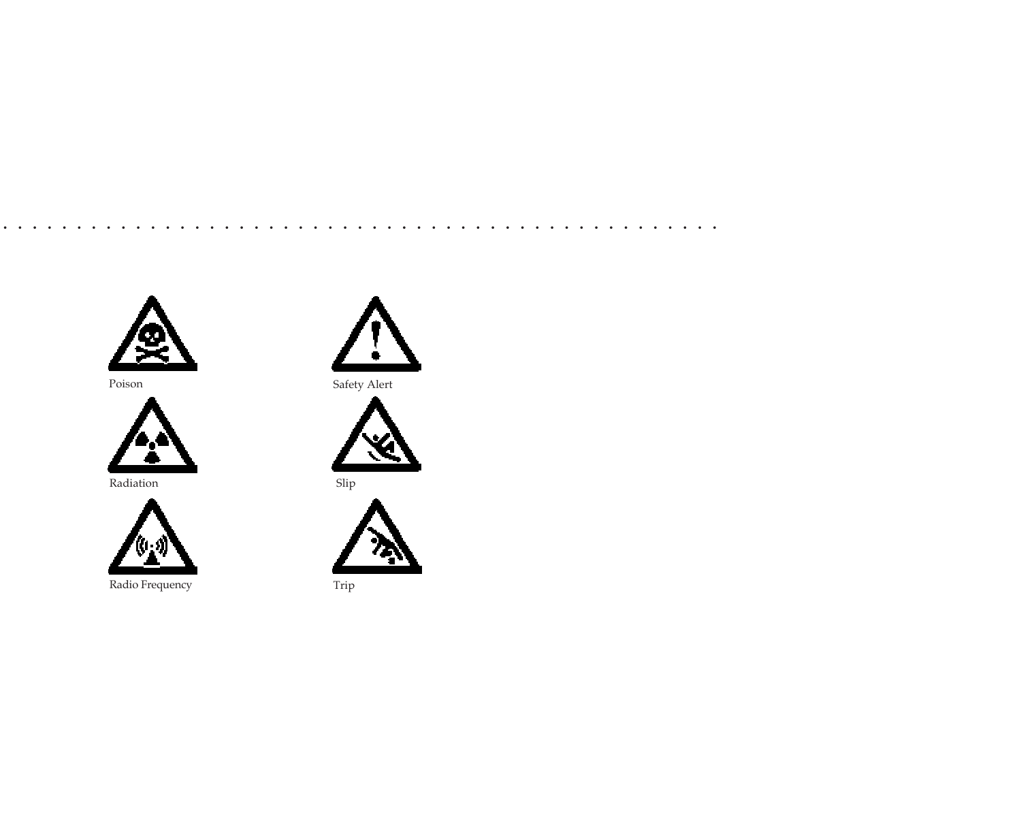



Radiation Slip



Radio Frequency **Trip** 



Poison Safety Alert

**. . . . . . . . . . . . . . . . . . . . . . . . . . . . . . . . . . . . . . . . . . . . . . . . .**



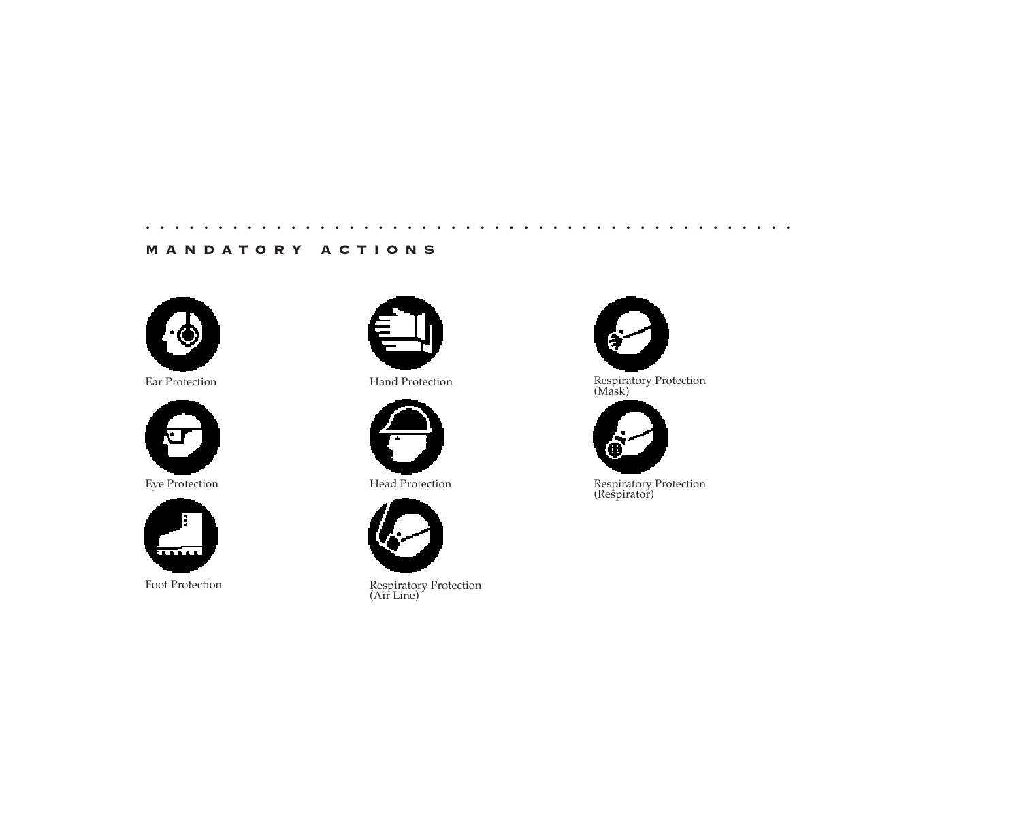# **MANDATORY ACTIONS**









**. . . . . . . . . . . . . . . . . . . . . . . . . . . . . . . . . . . . . . . . . . . . .**

Ear Protection **Hand Protection** 



Eye Protection **Head Protection** 



Foot Protection Respiratory Protection (Air Line)



Respiratory Protection (Mask)



Respiratory Protection (Respirator)